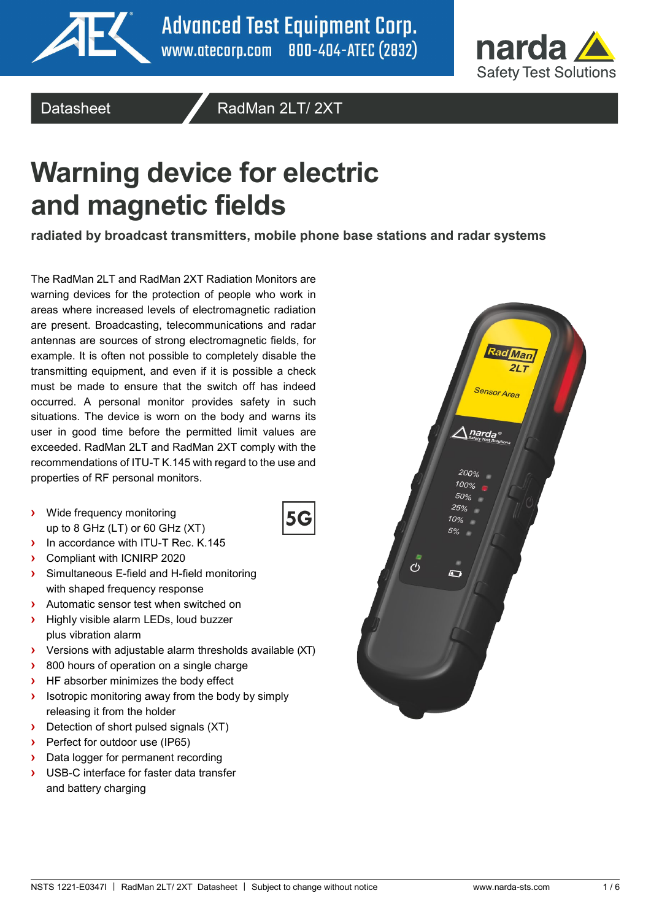



Datasheet **Algebrary RadMan 2LT/ 2XT** 

# **Warning device for electric and magnetic fields**

**radiated by broadcast transmitters, mobile phone base stations and radar systems**

5G

The RadMan 2LT and RadMan 2XT Radiation Monitors are warning devices for the protection of people who work in areas where increased levels of electromagnetic radiation are present. Broadcasting, telecommunications and radar antennas are sources of strong electromagnetic fields, for example. It is often not possible to completely disable the transmitting equipment, and even if it is possible a check must be made to ensure that the switch off has indeed occurred. A personal monitor provides safety in such situations. The device is worn on the body and warns its user in good time before the permitted limit values are exceeded. RadMan 2LT and RadMan 2XT comply with the recommendations of ITU-T K.145 with regard to the use and properties of RF personal monitors.

- **›** Wide frequency monitoring up to 8 GHz (LT) or 60 GHz (XT)
- **›** In accordance with ITU-T Rec. K.145
- **›** Compliant with ICNIRP 2020
- **›** Simultaneous E-field and H-field monitoring with shaped frequency response
- **›** Automatic sensor test when switched on
- **›** Highly visible alarm LEDs, loud buzzer plus vibration alarm
- **›** Versions with adjustable alarm thresholds available (XT)
- **›** 800 hours of operation on a single charge
- **›** HF absorber minimizes the body effect
- **›** Isotropic monitoring away from the body by simply releasing it from the holder
- **›** Detection of short pulsed signals (XT)
- **›** Perfect for outdoor use (IP65)
- **›** Data logger for permanent recording
- **›** USB-C interface for faster data transfer and battery charging

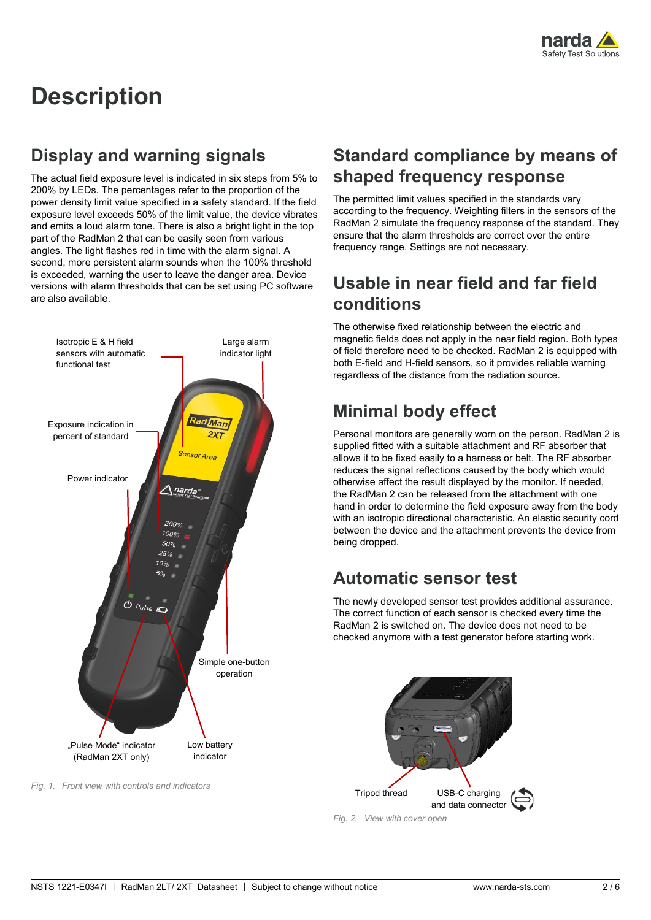

## **Description**

### **Display and warning signals**

The actual field exposure level is indicated in six steps from 5% to 200% by LEDs. The percentages refer to the proportion of the power density limit value specified in a safety standard. If the field exposure level exceeds 50% of the limit value, the device vibrates and emits a loud alarm tone. There is also a bright light in the top part of the RadMan 2 that can be easily seen from various angles. The light flashes red in time with the alarm signal. A second, more persistent alarm sounds when the 100% threshold is exceeded, warning the user to leave the danger area. Device versions with alarm thresholds that can be set using PC software are also available.



*Fig. 1. Front view with controls and indicators*

#### **Standard compliance by means of shaped frequency response**

The permitted limit values specified in the standards vary according to the frequency. Weighting filters in the sensors of the RadMan 2 simulate the frequency response of the standard. They ensure that the alarm thresholds are correct over the entire frequency range. Settings are not necessary.

#### **Usable in near field and far field conditions**

The otherwise fixed relationship between the electric and magnetic fields does not apply in the near field region. Both types of field therefore need to be checked. RadMan 2 is equipped with both E-field and H-field sensors, so it provides reliable warning regardless of the distance from the radiation source.

### **Minimal body effect**

Personal monitors are generally worn on the person. RadMan 2 is supplied fitted with a suitable attachment and RF absorber that allows it to be fixed easily to a harness or belt. The RF absorber reduces the signal reflections caused by the body which would otherwise affect the result displayed by the monitor. If needed, the RadMan 2 can be released from the attachment with one hand in order to determine the field exposure away from the body with an isotropic directional characteristic. An elastic security cord between the device and the attachment prevents the device from being dropped.

### **Automatic sensor test**

The newly developed sensor test provides additional assurance. The correct function of each sensor is checked every time the RadMan 2 is switched on. The device does not need to be checked anymore with a test generator before starting work.



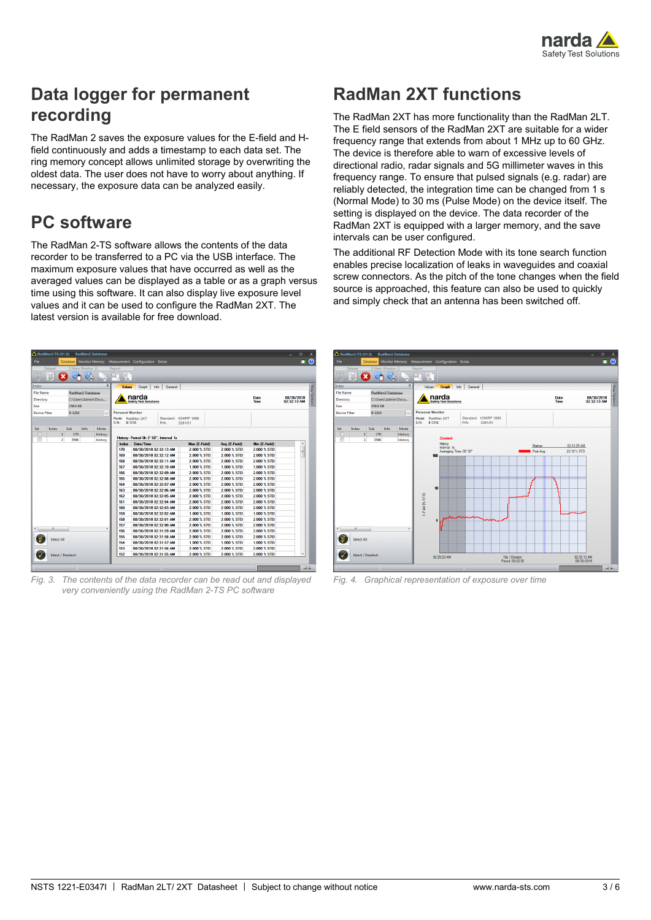

### **Data logger for permanent recording**

The RadMan 2 saves the exposure values for the E-field and Hfield continuously and adds a timestamp to each data set. The ring memory concept allows unlimited storage by overwriting the oldest data. The user does not have to worry about anything. If necessary, the exposure data can be analyzed easily.

### **PC software**

The RadMan 2-TS software allows the contents of the data recorder to be transferred to a PC via the USB interface. The maximum exposure values that have occurred as well as the averaged values can be displayed as a table or as a graph versus time using this software. It can also display live exposure level values and it can be used to configure the RadMan 2XT. The latest version is available for free download.

### **RadMan 2XT functions**

The RadMan 2XT has more functionality than the RadMan 2LT. The E field sensors of the RadMan 2XT are suitable for a wider frequency range that extends from about 1 MHz up to 60 GHz. The device is therefore able to warn of excessive levels of directional radio, radar signals and 5G millimeter waves in this frequency range. To ensure that pulsed signals (e.g. radar) are reliably detected, the integration time can be changed from 1 s (Normal Mode) to 30 ms (Pulse Mode) on the device itself. The setting is displayed on the device. The data recorder of the RadMan 2XT is equipped with a larger memory, and the save intervals can be user configured.

The additional RF Detection Mode with its tone search function enables precise localization of leaks in waveguides and coaxial screw connectors. As the pitch of the tone changes when the field source is approached, this feature can also be used to quickly and simply check that an antenna has been switched off.

| File              | <b>Database</b>        |                     |         |                                           | Monitor Memory Measurement Configuration Extras              |               |               |               | $\odot$<br>п              |
|-------------------|------------------------|---------------------|---------|-------------------------------------------|--------------------------------------------------------------|---------------|---------------|---------------|---------------------------|
| Dataset<br>CS)    |                        | Main Window<br>m    |         | Report<br>W                               |                                                              |               |               |               |                           |
| Index             |                        |                     | a       | <b>Values</b>                             | Info<br>General<br>Graph                                     |               |               |               |                           |
| <b>File Name</b>  |                        | RadMan2 Database    |         |                                           |                                                              |               |               |               | View Options              |
| Directory         |                        | C:\Users\Admin\Docu |         |                                           | narda<br><b>Safety Test Solutions</b>                        |               |               | Date<br>Time  | 08/30/2018<br>02:32:13 AM |
| Size              | 159.0 KB               |                     |         |                                           |                                                              |               |               |               |                           |
| Device Filter     | B-1216                 |                     | m.      | <b>Personal Monitor</b><br>Model:<br>S/N: | RadMan 2XT<br>Standard: ICNIRP 1998<br><b>B-1216</b><br>P/N: | 2281/01       |               |               |                           |
| Sel<br>Index      | Sub                    | Info                | Mode    |                                           |                                                              |               |               |               |                           |
| ▥                 | 1<br>170               |                     | History |                                           | History: Period Oh 2' 50", Interval 1s                       |               |               |               |                           |
| O                 | $\overline{2}$<br>3596 |                     | History | <b>Index</b>                              | Date/Time                                                    | Max (E-Field) | Ava (E-Field) | Min (E-Field) | ۸                         |
|                   |                        |                     |         | 170                                       | 08/30/2018 02:32:13 AM                                       | 2.000 % STD   | 2.000 % STD   | 2.000 % STD   |                           |
|                   |                        |                     |         | 169                                       | 08/30/2018 02:32:12 AM                                       | 2.000 % STD   | 2.000 % STD   | 2.000 % STD   | Ė.                        |
|                   |                        |                     |         | 168                                       | 08/30/2018 02:32:11 AM                                       | 2.000 % STD   | 2.000 % STD   | 2.000 % STD   |                           |
|                   |                        |                     |         | 167                                       | 08/30/2018 02:32:10 AM                                       | 1.000 % STD   | 1.000 % STD   | 1.000 % STD   |                           |
|                   |                        |                     |         | 166                                       | 08/30/2016 02:32:09 AM                                       | 2.000 % STD   | 2.000 % STD   | 2.000 % STD   |                           |
|                   |                        |                     |         | 165                                       | 08/30/2018 02:32:08 AM                                       | 2.000 % STD   | 2.000 % STD   | 2.000 % STD   |                           |
|                   |                        |                     |         | 164                                       | 08/30/2018 02:32:07 AM                                       | 2.000 % STD   | 2.000 % STD   | 2.000 % STD   |                           |
|                   |                        |                     |         | 163                                       | 08/30/2018 02:32:06 AM                                       | 2000 % STD    | 2.000 % STD   | 2.000 % STD   |                           |
|                   |                        |                     |         | 162                                       | 08/30/2018 02:32:05 AM                                       | 2.000 % STD   | 2.000 % STD   | 2.000 % STD   |                           |
|                   |                        |                     |         | 161                                       | 08/30/2016 02:32:04 AM                                       | 2.000 % STD   | 2.000 % STD   | 2.000 % STD   |                           |
|                   |                        |                     |         | 160                                       | 08/30/2018 02:32:03 AM                                       | 2.000 % STD   | 2.000 % STD   | 2.000 % STD   |                           |
|                   |                        |                     |         | 159                                       | 08/30/2018 02:32:02 AM                                       | 1.000 % STD   | 1,000 % STD   | 1,000 % STD   |                           |
|                   |                        |                     |         | 158                                       | 08/30/2018 02:32:01 AM                                       | 2000 % STD    | 2000 % STD    | 2.000 % STD   |                           |
| $\mathbf{m}$      |                        |                     |         | 157                                       | 08/30/2018 02:32:00 AM                                       | 2.000 % STD   | 2.000 % STD   | 2.000 % STD   |                           |
|                   |                        |                     |         | 156                                       | 08/30/2016 02:31:59 AM                                       | 2.000 % STD   | 2.000 % STD   | 2.000 % STD   |                           |
| <b>Select All</b> |                        |                     |         | 155                                       | 08/30/2018 02:31:58 AM                                       | 2.000 % STD   | 2.000 % STD   | 2.000 % STD   |                           |
|                   |                        |                     |         | 154                                       | 08/30/2018 02:31:57 AM                                       | 1.000 % STD   | 1,000 % STD   | 1,000 % STD   |                           |
|                   |                        |                     |         | 153<br>152                                | 08/30/2018 02:31:56 AM                                       | 2.000 % STD   | 2.000 % STD   | 2.000 % STD   |                           |
|                   |                        |                     |         |                                           | 08/30/2018 02:31:55 AM                                       | 2.000 % STD   | 2.000 % STD   | 2.000 % STD   |                           |

*Fig. 3. The contents of the data recorder can be read out and displayed very conveniently using the RadMan 2-TS PC software*



*Fig. 4. Graphical representation of exposure over time*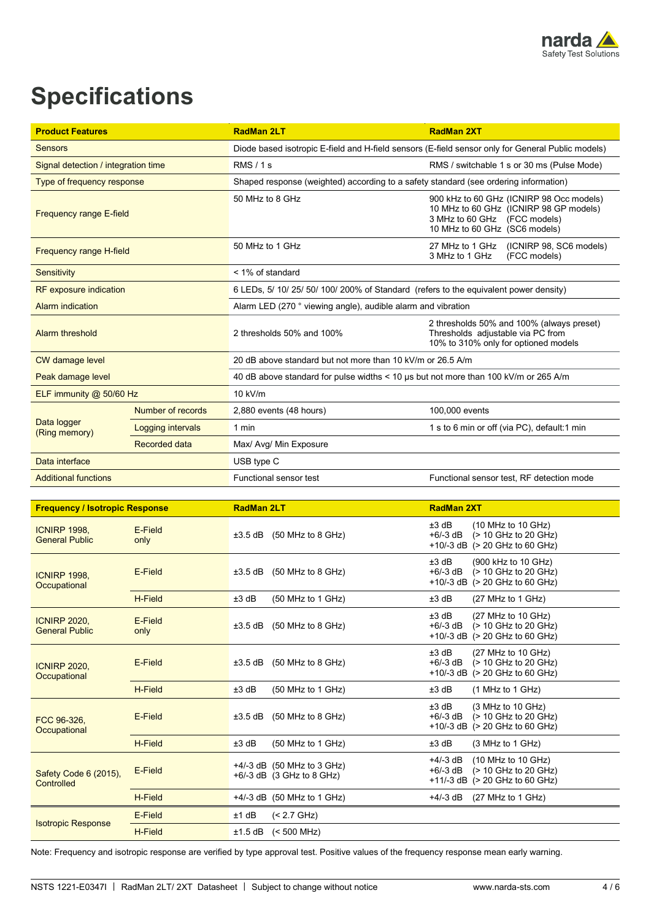

## **Specifications**

| <b>Product Features</b>             |                      | <b>RadMan 2LT</b>                                                                                 | <b>RadMan 2XT</b>                                                                                                                                   |  |
|-------------------------------------|----------------------|---------------------------------------------------------------------------------------------------|-----------------------------------------------------------------------------------------------------------------------------------------------------|--|
| <b>Sensors</b>                      |                      | Diode based isotropic E-field and H-field sensors (E-field sensor only for General Public models) |                                                                                                                                                     |  |
| Signal detection / integration time |                      | RMS/1s                                                                                            | RMS / switchable 1 s or 30 ms (Pulse Mode)                                                                                                          |  |
| Type of frequency response          |                      | Shaped response (weighted) according to a safety standard (see ordering information)              |                                                                                                                                                     |  |
| <b>Frequency range E-field</b>      |                      | 50 MHz to 8 GHz                                                                                   | 900 kHz to 60 GHz (ICNIRP 98 Occ models)<br>10 MHz to 60 GHz (ICNIRP 98 GP models)<br>3 MHz to 60 GHz (FCC models)<br>10 MHz to 60 GHz (SC6 models) |  |
| <b>Frequency range H-field</b>      |                      | 50 MHz to 1 GHz                                                                                   | 27 MHz to 1 GHz (ICNIRP 98, SC6 models)<br>3 MHz to 1 GHz<br>(FCC models)                                                                           |  |
| Sensitivity                         |                      | < 1% of standard                                                                                  |                                                                                                                                                     |  |
| <b>RF</b> exposure indication       |                      | 6 LEDs, 5/ 10/ 25/ 50/ 100/ 200% of Standard (refers to the equivalent power density)             |                                                                                                                                                     |  |
| Alarm indication                    |                      | Alarm LED (270 ° viewing angle), audible alarm and vibration                                      |                                                                                                                                                     |  |
| Alarm threshold                     |                      | 2 thresholds 50% and 100%                                                                         | 2 thresholds 50% and 100% (always preset)<br>Thresholds adjustable via PC from<br>10% to 310% only for optioned models                              |  |
| <b>CW</b> damage level              |                      | 20 dB above standard but not more than 10 kV/m or 26.5 A/m                                        |                                                                                                                                                     |  |
| Peak damage level                   |                      | 40 dB above standard for pulse widths < 10 us but not more than 100 kV/m or 265 A/m               |                                                                                                                                                     |  |
| ELF immunity $@$ 50/60 Hz           |                      | 10 kV/m                                                                                           |                                                                                                                                                     |  |
|                                     | Number of records    | 2,880 events (48 hours)                                                                           | 100,000 events                                                                                                                                      |  |
| Data logger<br>(Ring memory)        | Logging intervals    | 1 min                                                                                             | 1 s to 6 min or off (via PC), default:1 min                                                                                                         |  |
|                                     | <b>Recorded data</b> | Max/ Avg/ Min Exposure                                                                            |                                                                                                                                                     |  |
| Data interface                      |                      | USB type C                                                                                        |                                                                                                                                                     |  |
| <b>Additional functions</b>         |                      | Functional sensor test                                                                            | Functional sensor test, RF detection mode                                                                                                           |  |

| <b>Frequency / Isotropic Response</b>        |                 | <b>RadMan 2LT</b>                                           | <b>RadMan 2XT</b>                                                                                                                |  |
|----------------------------------------------|-----------------|-------------------------------------------------------------|----------------------------------------------------------------------------------------------------------------------------------|--|
| <b>ICNIRP 1998.</b><br><b>General Public</b> | E-Field<br>only | (50 MHz to 8 GHz)<br>$±3.5$ dB                              | $±3$ dB<br>(10 MHz to 10 GHz)<br>(> 10 GHz to 20 GHz)<br>$+6/-3$ dB<br>$+10/-3$ dB ( $> 20$ GHz to 60 GHz)                       |  |
| <b>ICNIRP 1998,</b><br>Occupational          | E-Field         | $±3.5$ dB<br>$(50$ MHz to 8 GHz)                            | $±3$ dB<br>(900 kHz to 10 GHz)<br>$+6/-3$ dB<br>(> 10 GHz to 20 GHz)<br>$+10/-3$ dB ( $> 20$ GHz to 60 GHz)                      |  |
|                                              | H-Field         | $±3$ dB<br>(50 MHz to 1 GHz)                                | $±3$ dB<br>(27 MHz to 1 GHz)                                                                                                     |  |
| <b>ICNIRP 2020.</b><br><b>General Public</b> | E-Field<br>only | (50 MHz to 8 GHz)<br>±3.5 dB                                | $±3$ dB<br>$(27 \text{ MHz to } 10 \text{ GHz})$<br>$+6/-3$ dB<br>(> 10 GHz to 20 GHz)<br>$+10/-3$ dB ( $> 20$ GHz to 60 GHz)    |  |
| <b>ICNIRP 2020,</b><br>Occupational          | E-Field         | $(50$ MHz to 8 GHz)<br>$±3.5$ dB                            | $±3$ dB<br>(27 MHz to 10 GHz)<br>$+6/-3$ dB<br>(> 10 GHz to 20 GHz)<br>+10/-3 dB (> 20 GHz to 60 GHz)                            |  |
|                                              | H-Field         | $±3$ dB<br>$(50$ MHz to 1 GHz)                              | $±3$ dB<br>$(1$ MHz to 1 GHz)                                                                                                    |  |
| FCC 96-326,<br>Occupational                  | E-Field         | $(50$ MHz to 8 GHz)<br>±3.5 dB                              | $±3$ dB<br>(3 MHz to 10 GHz)<br>$+6/-3$ dB<br>(> 10 GHz to 20 GHz)<br>$+10/-3$ dB ( $> 20$ GHz to 60 GHz)                        |  |
|                                              | H-Field         | ±3 dB<br>(50 MHz to 1 GHz)                                  | $±3$ dB<br>(3 MHz to 1 GHz)                                                                                                      |  |
| Safety Code 6 (2015),<br>Controlled          | E-Field         | +4/-3 dB (50 MHz to 3 GHz)<br>$+6/-3$ dB $(3$ GHz to 8 GHz) | $+4/-3$ dB<br>$(10 \text{ MHz to } 10 \text{ GHz})$<br>(> 10 GHz to 20 GHz)<br>$+6/-3$ dB<br>$+11/-3$ dB ( $> 20$ GHz to 60 GHz) |  |
|                                              | H-Field         | +4/-3 dB (50 MHz to 1 GHz)                                  | (27 MHz to 1 GHz)<br>+4/-3 dB                                                                                                    |  |
|                                              | E-Field         | ±1 dB<br>$(< 2.7$ GHz)                                      |                                                                                                                                  |  |
| <b>Isotropic Response</b>                    | <b>H-Field</b>  | $±1.5$ dB<br>$(< 500$ MHz)                                  |                                                                                                                                  |  |

Note: Frequency and isotropic response are verified by type approval test. Positive values of the frequency response mean early warning.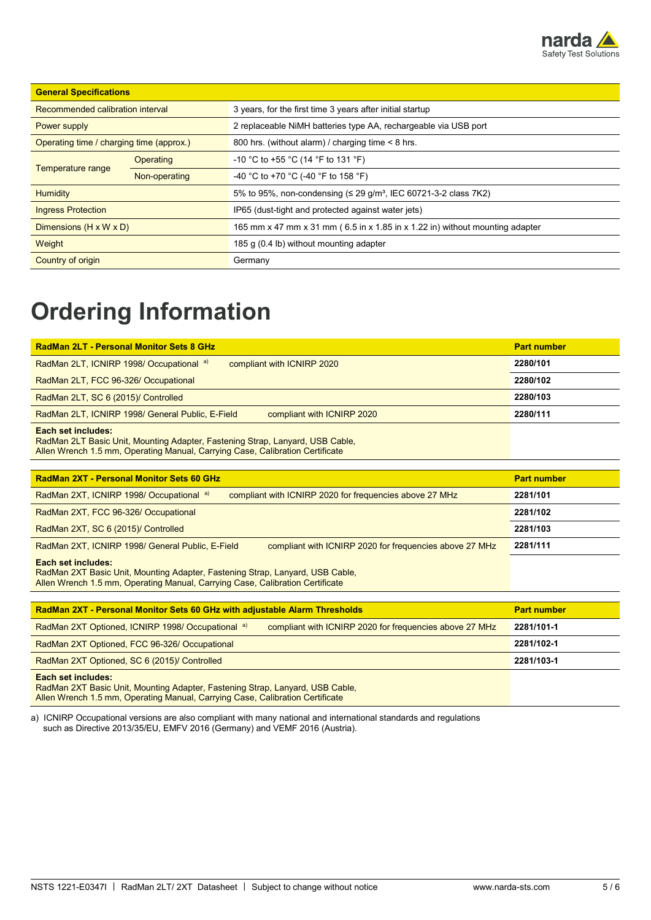

| <b>General Specifications</b>            |               |                                                                                |  |  |
|------------------------------------------|---------------|--------------------------------------------------------------------------------|--|--|
| Recommended calibration interval         |               | 3 years, for the first time 3 years after initial startup                      |  |  |
| Power supply                             |               | 2 replaceable NiMH batteries type AA, rechargeable via USB port                |  |  |
| Operating time / charging time (approx.) |               | 800 hrs. (without alarm) / charging time < 8 hrs.                              |  |  |
|                                          | Operating     | -10 °C to +55 °C (14 °F to 131 °F)                                             |  |  |
| Temperature range                        | Non-operating | -40 °C to +70 °C (-40 °F to 158 °F)                                            |  |  |
| Humidity                                 |               | 5% to 95%, non-condensing $(\leq 29 \text{ q/m}^3)$ , IEC 60721-3-2 class 7K2) |  |  |
| <b>Ingress Protection</b>                |               | IP65 (dust-tight and protected against water jets)                             |  |  |
| Dimensions $(H \times W \times D)$       |               | 165 mm x 47 mm x 31 mm (6.5 in x 1.85 in x 1.22 in) without mounting adapter   |  |  |
| Weight                                   |               | 185 g (0.4 lb) without mounting adapter                                        |  |  |
| Country of origin                        |               | Germany                                                                        |  |  |

## **Ordering Information**

| <b>RadMan 2LT - Personal Monitor Sets 8 GHz</b>                                                                                                                                      | <b>Part number</b> |
|--------------------------------------------------------------------------------------------------------------------------------------------------------------------------------------|--------------------|
| RadMan 2LT, ICNIRP 1998/ Occupational a)<br>compliant with ICNIRP 2020                                                                                                               | 2280/101           |
| RadMan 2LT, FCC 96-326/ Occupational                                                                                                                                                 | 2280/102           |
| RadMan 2LT, SC 6 (2015)/ Controlled                                                                                                                                                  | 2280/103           |
| RadMan 2LT, ICNIRP 1998/ General Public, E-Field<br>compliant with ICNIRP 2020                                                                                                       | 2280/111           |
| Each set includes:<br>RadMan 2LT Basic Unit, Mounting Adapter, Fastening Strap, Lanyard, USB Cable,<br>Allen Wrench 1.5 mm, Operating Manual, Carrying Case, Calibration Certificate |                    |
|                                                                                                                                                                                      |                    |
| RadMan 2XT - Personal Monitor Sets 60 GHz                                                                                                                                            | <b>Part number</b> |
| RadMan 2XT, ICNIRP 1998/ Occupational a)<br>compliant with ICNIRP 2020 for frequencies above 27 MHz                                                                                  | 2281/101           |
| RadMan 2XT, FCC 96-326/ Occupational                                                                                                                                                 | 2281/102           |
| RadMan 2XT, SC 6 (2015)/ Controlled                                                                                                                                                  | 2281/103           |
| RadMan 2XT, ICNIRP 1998/ General Public, E-Field<br>compliant with ICNIRP 2020 for frequencies above 27 MHz                                                                          | 2281/111           |
| Each set includes:<br>RadMan 2XT Basic Unit, Mounting Adapter, Fastening Strap, Lanyard, USB Cable,<br>Allen Wrench 1.5 mm, Operating Manual, Carrying Case, Calibration Certificate |                    |
|                                                                                                                                                                                      |                    |

| <b>RadMan 2XT - Personal Monitor Sets 60 GHz with adjustable Alarm Thresholds</b> | <b>Part number</b>                                      |            |
|-----------------------------------------------------------------------------------|---------------------------------------------------------|------------|
| RadMan 2XT Optioned, ICNIRP 1998/ Occupational a)                                 | compliant with ICNIRP 2020 for frequencies above 27 MHz | 2281/101-1 |
| RadMan 2XT Optioned, FCC 96-326/ Occupational                                     |                                                         | 2281/102-1 |
| RadMan 2XT Optioned, SC 6 (2015)/ Controlled                                      |                                                         | 2281/103-1 |
| <b>Each set includes:</b>                                                         |                                                         |            |

RadMan 2XT Basic Unit, Mounting Adapter, Fastening Strap, Lanyard, USB Cable, Allen Wrench 1.5 mm, Operating Manual, Carrying Case, Calibration Certificate

a) ICNIRP Occupational versions are also compliant with many national and international standards and regulations such as Directive 2013/35/EU, EMFV 2016 (Germany) and VEMF 2016 (Austria).